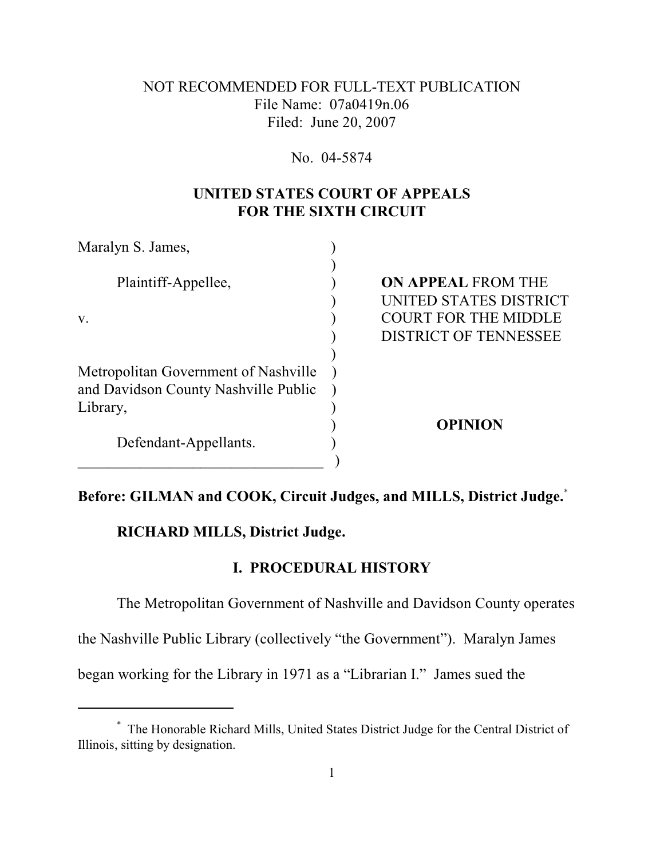## NOT RECOMMENDED FOR FULL-TEXT PUBLICATION File Name: 07a0419n.06 Filed: June 20, 2007

#### No. 04-5874

# **UNITED STATES COURT OF APPEALS FOR THE SIXTH CIRCUIT**

| Maralyn S. James,                    |                              |
|--------------------------------------|------------------------------|
| Plaintiff-Appellee,                  | <b>ON APPEAL FROM THE</b>    |
|                                      | UNITED STATES DISTRICT       |
| V.                                   | <b>COURT FOR THE MIDDLE</b>  |
|                                      | <b>DISTRICT OF TENNESSEE</b> |
|                                      |                              |
| Metropolitan Government of Nashville |                              |
| and Davidson County Nashville Public |                              |
| Library,                             |                              |
| Defendant-Appellants.                | <b>OPINION</b>               |
|                                      |                              |
|                                      |                              |

## **Before: GILMAN and COOK, Circuit Judges, and MILLS, District Judge.**\*

## **RICHARD MILLS, District Judge.**

### **I. PROCEDURAL HISTORY**

The Metropolitan Government of Nashville and Davidson County operates

the Nashville Public Library (collectively "the Government"). Maralyn James

began working for the Library in 1971 as a "Librarian I." James sued the

The Honorable Richard Mills, United States District Judge for the Central District of \* Illinois, sitting by designation.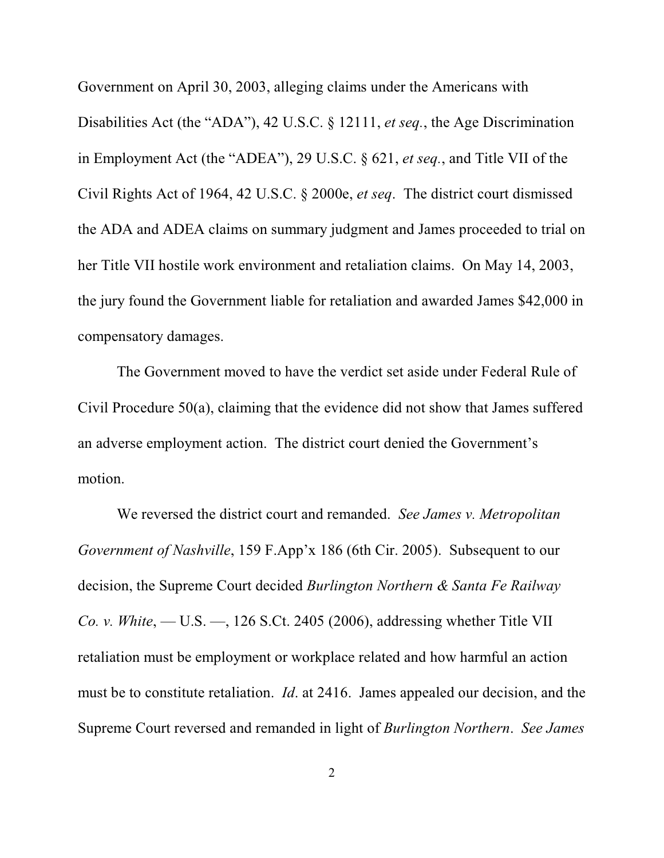Government on April 30, 2003, alleging claims under the Americans with Disabilities Act (the "ADA"), 42 U.S.C. § 12111, *et seq.*, the Age Discrimination in Employment Act (the "ADEA"), 29 U.S.C. § 621, *et seq.*, and Title VII of the Civil Rights Act of 1964, 42 U.S.C. § 2000e, *et seq*. The district court dismissed the ADA and ADEA claims on summary judgment and James proceeded to trial on her Title VII hostile work environment and retaliation claims. On May 14, 2003, the jury found the Government liable for retaliation and awarded James \$42,000 in compensatory damages.

The Government moved to have the verdict set aside under Federal Rule of Civil Procedure 50(a), claiming that the evidence did not show that James suffered an adverse employment action. The district court denied the Government's motion.

We reversed the district court and remanded. *See James v. Metropolitan Government of Nashville*, 159 F.App'x 186 (6th Cir. 2005). Subsequent to our decision, the Supreme Court decided *Burlington Northern & Santa Fe Railway Co. v. White*, — U.S. —, 126 S.Ct. 2405 (2006), addressing whether Title VII retaliation must be employment or workplace related and how harmful an action must be to constitute retaliation. *Id*. at 2416. James appealed our decision, and the Supreme Court reversed and remanded in light of *Burlington Northern*. *See James*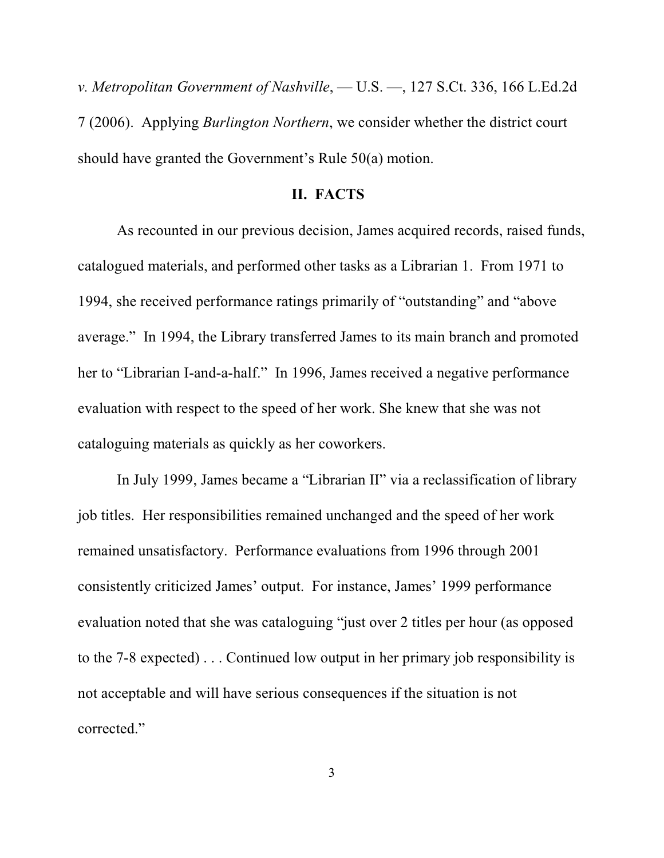*v. Metropolitan Government of Nashville*, — U.S. —, 127 S.Ct. 336, 166 L.Ed.2d 7 (2006). Applying *Burlington Northern*, we consider whether the district court should have granted the Government's Rule 50(a) motion.

#### **II. FACTS**

As recounted in our previous decision, James acquired records, raised funds, catalogued materials, and performed other tasks as a Librarian 1. From 1971 to 1994, she received performance ratings primarily of "outstanding" and "above average." In 1994, the Library transferred James to its main branch and promoted her to "Librarian I-and-a-half." In 1996, James received a negative performance evaluation with respect to the speed of her work. She knew that she was not cataloguing materials as quickly as her coworkers.

In July 1999, James became a "Librarian II" via a reclassification of library job titles. Her responsibilities remained unchanged and the speed of her work remained unsatisfactory. Performance evaluations from 1996 through 2001 consistently criticized James' output. For instance, James' 1999 performance evaluation noted that she was cataloguing "just over 2 titles per hour (as opposed to the 7-8 expected) . . . Continued low output in her primary job responsibility is not acceptable and will have serious consequences if the situation is not corrected."

3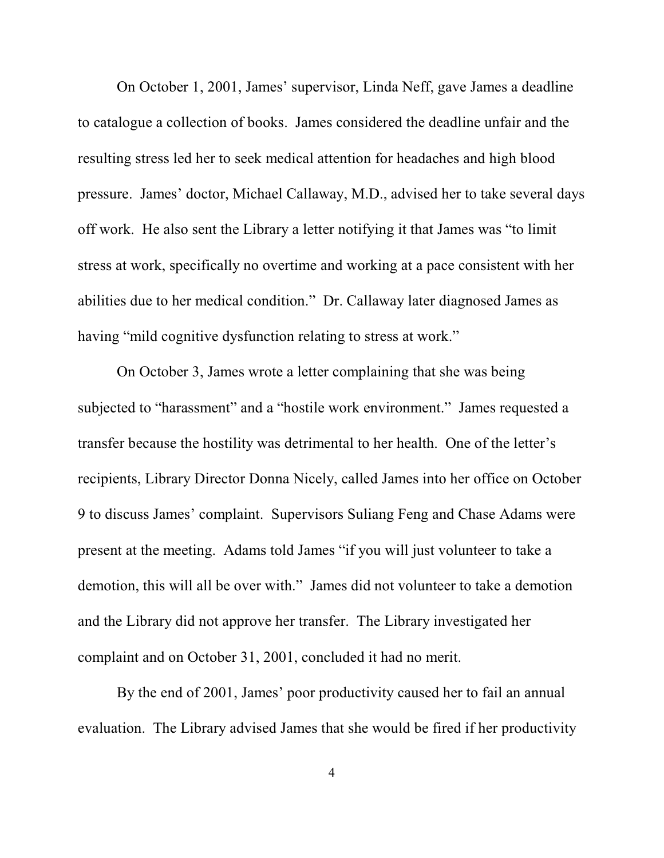On October 1, 2001, James' supervisor, Linda Neff, gave James a deadline to catalogue a collection of books. James considered the deadline unfair and the resulting stress led her to seek medical attention for headaches and high blood pressure. James' doctor, Michael Callaway, M.D., advised her to take several days off work. He also sent the Library a letter notifying it that James was "to limit stress at work, specifically no overtime and working at a pace consistent with her abilities due to her medical condition." Dr. Callaway later diagnosed James as having "mild cognitive dysfunction relating to stress at work."

On October 3, James wrote a letter complaining that she was being subjected to "harassment" and a "hostile work environment." James requested a transfer because the hostility was detrimental to her health. One of the letter's recipients, Library Director Donna Nicely, called James into her office on October 9 to discuss James' complaint. Supervisors Suliang Feng and Chase Adams were present at the meeting. Adams told James "if you will just volunteer to take a demotion, this will all be over with." James did not volunteer to take a demotion and the Library did not approve her transfer. The Library investigated her complaint and on October 31, 2001, concluded it had no merit.

By the end of 2001, James' poor productivity caused her to fail an annual evaluation. The Library advised James that she would be fired if her productivity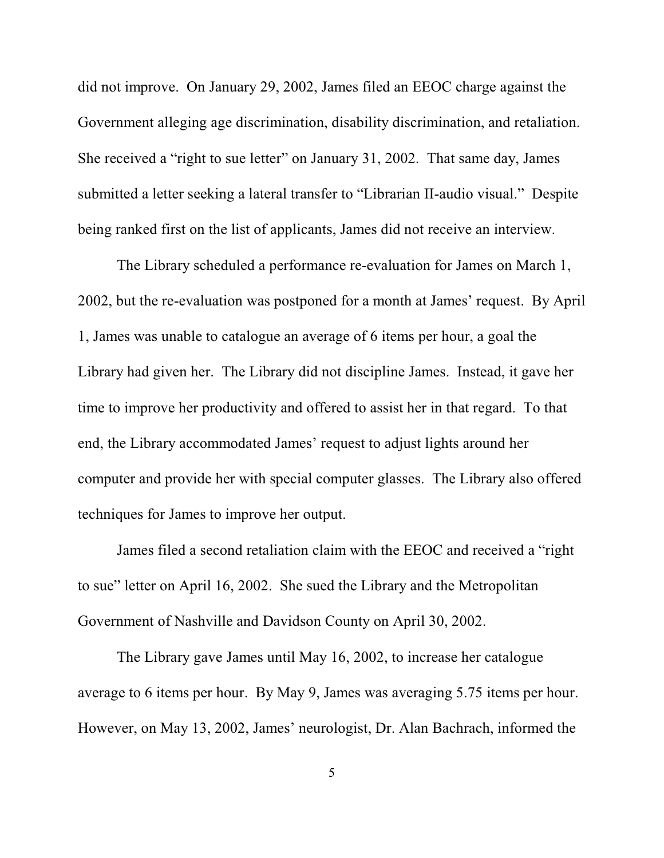did not improve. On January 29, 2002, James filed an EEOC charge against the Government alleging age discrimination, disability discrimination, and retaliation. She received a "right to sue letter" on January 31, 2002. That same day, James submitted a letter seeking a lateral transfer to "Librarian II-audio visual." Despite being ranked first on the list of applicants, James did not receive an interview.

The Library scheduled a performance re-evaluation for James on March 1, 2002, but the re-evaluation was postponed for a month at James' request. By April 1, James was unable to catalogue an average of 6 items per hour, a goal the Library had given her. The Library did not discipline James. Instead, it gave her time to improve her productivity and offered to assist her in that regard. To that end, the Library accommodated James' request to adjust lights around her computer and provide her with special computer glasses. The Library also offered techniques for James to improve her output.

James filed a second retaliation claim with the EEOC and received a "right to sue" letter on April 16, 2002. She sued the Library and the Metropolitan Government of Nashville and Davidson County on April 30, 2002.

The Library gave James until May 16, 2002, to increase her catalogue average to 6 items per hour. By May 9, James was averaging 5.75 items per hour. However, on May 13, 2002, James' neurologist, Dr. Alan Bachrach, informed the

5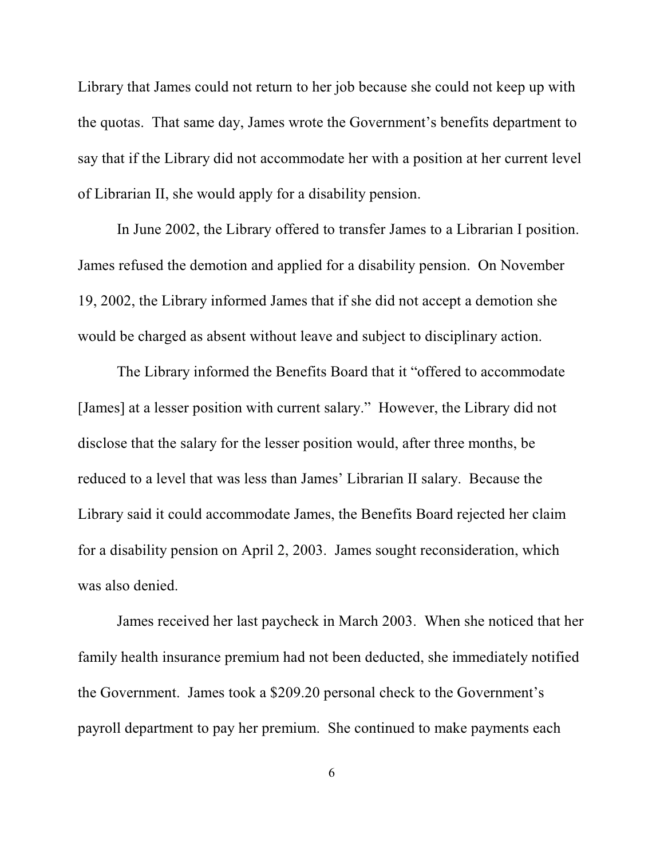Library that James could not return to her job because she could not keep up with the quotas. That same day, James wrote the Government's benefits department to say that if the Library did not accommodate her with a position at her current level of Librarian II, she would apply for a disability pension.

In June 2002, the Library offered to transfer James to a Librarian I position. James refused the demotion and applied for a disability pension. On November 19, 2002, the Library informed James that if she did not accept a demotion she would be charged as absent without leave and subject to disciplinary action.

The Library informed the Benefits Board that it "offered to accommodate [James] at a lesser position with current salary." However, the Library did not disclose that the salary for the lesser position would, after three months, be reduced to a level that was less than James' Librarian II salary. Because the Library said it could accommodate James, the Benefits Board rejected her claim for a disability pension on April 2, 2003. James sought reconsideration, which was also denied.

James received her last paycheck in March 2003. When she noticed that her family health insurance premium had not been deducted, she immediately notified the Government. James took a \$209.20 personal check to the Government's payroll department to pay her premium. She continued to make payments each

6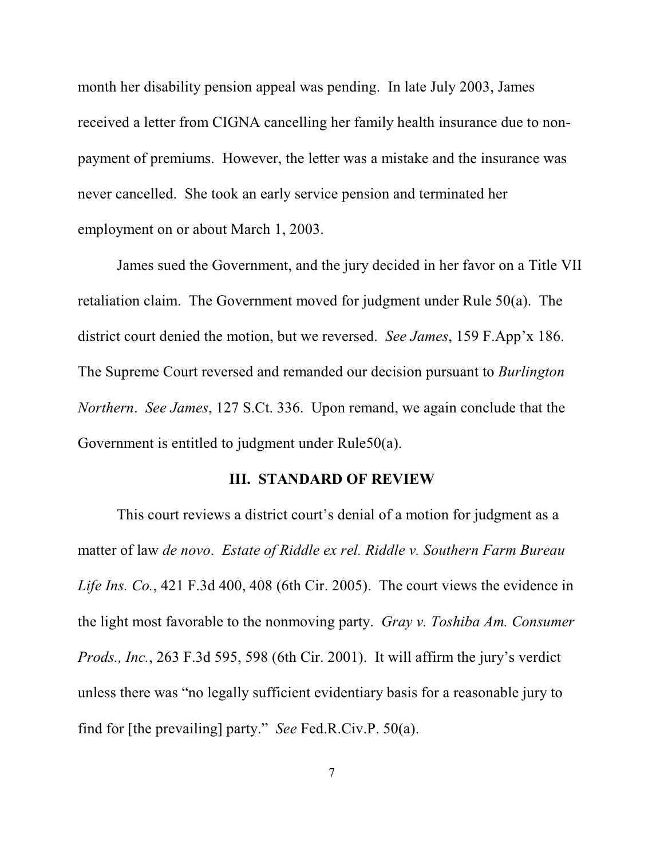month her disability pension appeal was pending. In late July 2003, James received a letter from CIGNA cancelling her family health insurance due to nonpayment of premiums. However, the letter was a mistake and the insurance was never cancelled. She took an early service pension and terminated her employment on or about March 1, 2003.

James sued the Government, and the jury decided in her favor on a Title VII retaliation claim. The Government moved for judgment under Rule 50(a). The district court denied the motion, but we reversed. *See James*, 159 F.App'x 186. The Supreme Court reversed and remanded our decision pursuant to *Burlington Northern*. *See James*, 127 S.Ct. 336. Upon remand, we again conclude that the Government is entitled to judgment under Rule50(a).

#### **III. STANDARD OF REVIEW**

This court reviews a district court's denial of a motion for judgment as a matter of law *de novo*. *Estate of Riddle ex rel. Riddle v. Southern Farm Bureau Life Ins. Co.*, 421 F.3d 400, 408 (6th Cir. 2005). The court views the evidence in the light most favorable to the nonmoving party. *Gray v. Toshiba Am. Consumer Prods., Inc.*, 263 F.3d 595, 598 (6th Cir. 2001). It will affirm the jury's verdict unless there was "no legally sufficient evidentiary basis for a reasonable jury to find for [the prevailing] party." *See* Fed.R.Civ.P. 50(a).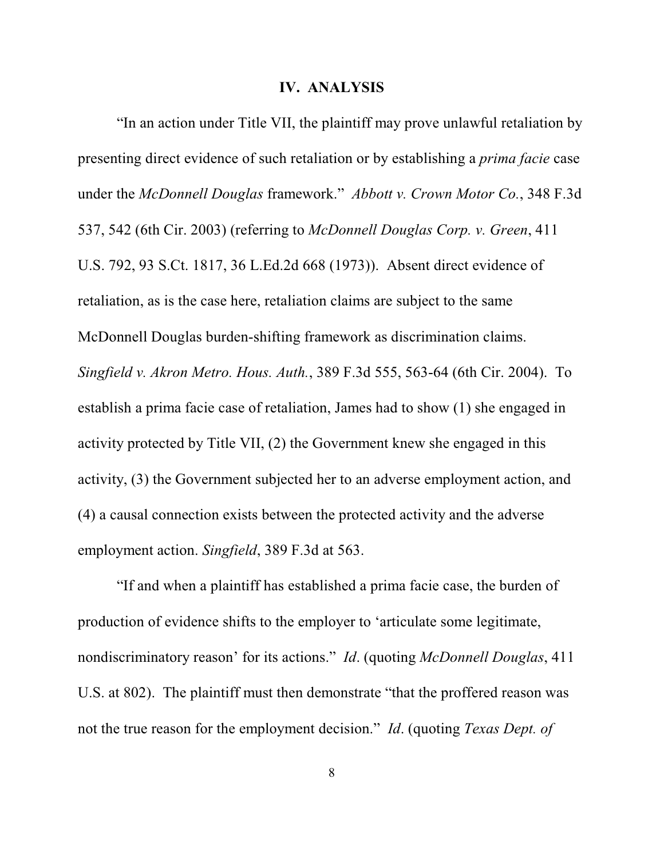#### **IV. ANALYSIS**

"In an action under Title VII, the plaintiff may prove unlawful retaliation by presenting direct evidence of such retaliation or by establishing a *prima facie* case under the *McDonnell Douglas* framework." *Abbott v. Crown Motor Co.*, 348 F.3d 537, 542 (6th Cir. 2003) (referring to *McDonnell Douglas Corp. v. Green*, 411 U.S. 792, 93 S.Ct. 1817, 36 L.Ed.2d 668 (1973)). Absent direct evidence of retaliation, as is the case here, retaliation claims are subject to the same McDonnell Douglas burden-shifting framework as discrimination claims. *Singfield v. Akron Metro. Hous. Auth.*, 389 F.3d 555, 563-64 (6th Cir. 2004). To establish a prima facie case of retaliation, James had to show (1) she engaged in activity protected by Title VII, (2) the Government knew she engaged in this activity, (3) the Government subjected her to an adverse employment action, and (4) a causal connection exists between the protected activity and the adverse employment action. *Singfield*, 389 F.3d at 563.

"If and when a plaintiff has established a prima facie case, the burden of production of evidence shifts to the employer to 'articulate some legitimate, nondiscriminatory reason' for its actions." *Id*. (quoting *McDonnell Douglas*, 411 U.S. at 802). The plaintiff must then demonstrate "that the proffered reason was not the true reason for the employment decision." *Id*. (quoting *Texas Dept. of*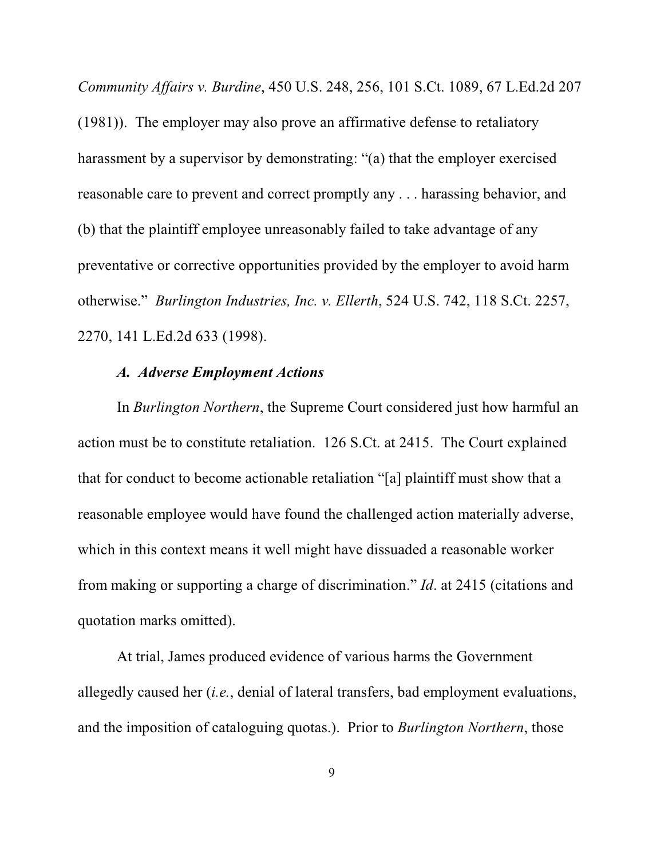*Community Affairs v. Burdine*, 450 U.S. 248, 256, 101 S.Ct. 1089, 67 L.Ed.2d 207 (1981)). The employer may also prove an affirmative defense to retaliatory harassment by a supervisor by demonstrating: "(a) that the employer exercised reasonable care to prevent and correct promptly any . . . harassing behavior, and (b) that the plaintiff employee unreasonably failed to take advantage of any preventative or corrective opportunities provided by the employer to avoid harm otherwise." *Burlington Industries, Inc. v. Ellerth*, 524 U.S. 742, 118 S.Ct. 2257, 2270, 141 L.Ed.2d 633 (1998).

### *A. Adverse Employment Actions*

In *Burlington Northern*, the Supreme Court considered just how harmful an action must be to constitute retaliation. 126 S.Ct. at 2415. The Court explained that for conduct to become actionable retaliation "[a] plaintiff must show that a reasonable employee would have found the challenged action materially adverse, which in this context means it well might have dissuaded a reasonable worker from making or supporting a charge of discrimination." *Id*. at 2415 (citations and quotation marks omitted).

At trial, James produced evidence of various harms the Government allegedly caused her (*i.e.*, denial of lateral transfers, bad employment evaluations, and the imposition of cataloguing quotas.). Prior to *Burlington Northern*, those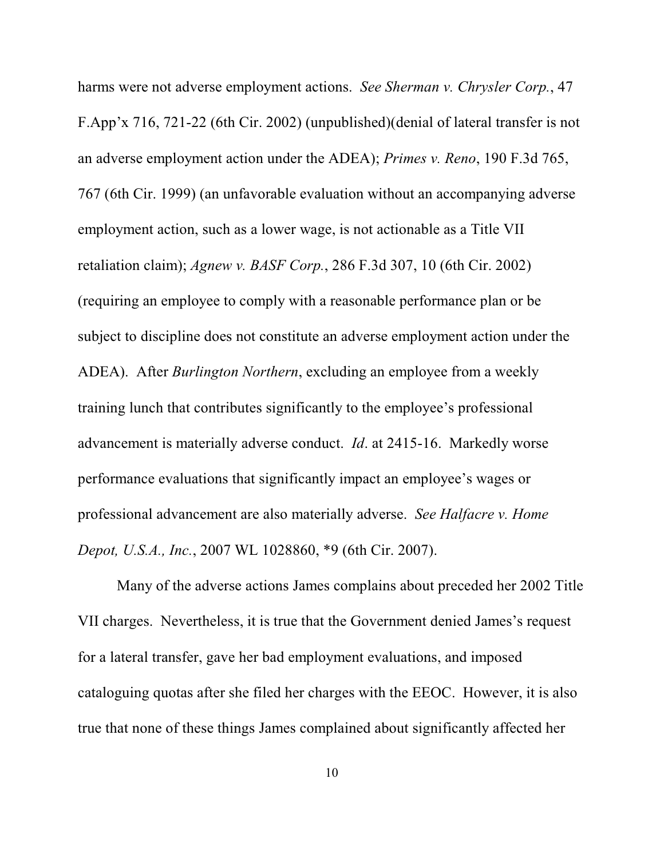harms were not adverse employment actions. *See Sherman v. Chrysler Corp.*, 47 F.App'x 716, 721-22 (6th Cir. 2002) (unpublished)(denial of lateral transfer is not an adverse employment action under the ADEA); *Primes v. Reno*, 190 F.3d 765, 767 (6th Cir. 1999) (an unfavorable evaluation without an accompanying adverse employment action, such as a lower wage, is not actionable as a Title VII retaliation claim); *Agnew v. BASF Corp.*, 286 F.3d 307, 10 (6th Cir. 2002) (requiring an employee to comply with a reasonable performance plan or be subject to discipline does not constitute an adverse employment action under the ADEA). After *Burlington Northern*, excluding an employee from a weekly training lunch that contributes significantly to the employee's professional advancement is materially adverse conduct. *Id*. at 2415-16. Markedly worse performance evaluations that significantly impact an employee's wages or professional advancement are also materially adverse. *See Halfacre v. Home Depot, U.S.A., Inc.*, 2007 WL 1028860, \*9 (6th Cir. 2007).

Many of the adverse actions James complains about preceded her 2002 Title VII charges. Nevertheless, it is true that the Government denied James's request for a lateral transfer, gave her bad employment evaluations, and imposed cataloguing quotas after she filed her charges with the EEOC. However, it is also true that none of these things James complained about significantly affected her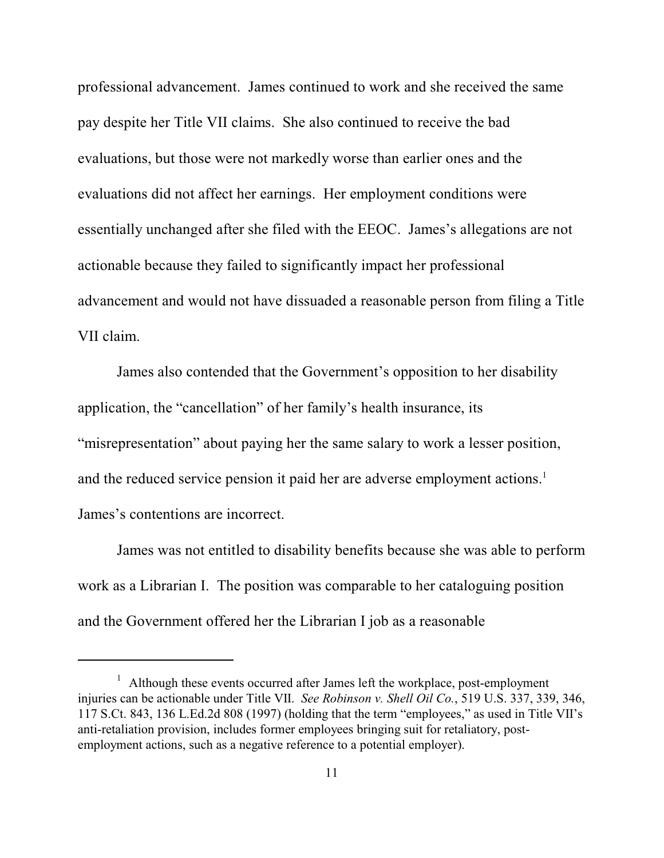professional advancement. James continued to work and she received the same pay despite her Title VII claims. She also continued to receive the bad evaluations, but those were not markedly worse than earlier ones and the evaluations did not affect her earnings. Her employment conditions were essentially unchanged after she filed with the EEOC. James's allegations are not actionable because they failed to significantly impact her professional advancement and would not have dissuaded a reasonable person from filing a Title VII claim.

James also contended that the Government's opposition to her disability application, the "cancellation" of her family's health insurance, its "misrepresentation" about paying her the same salary to work a lesser position, and the reduced service pension it paid her are adverse employment actions.<sup>1</sup> James's contentions are incorrect.

James was not entitled to disability benefits because she was able to perform work as a Librarian I. The position was comparable to her cataloguing position and the Government offered her the Librarian I job as a reasonable

 $1$  Although these events occurred after James left the workplace, post-employment injuries can be actionable under Title VII. *See Robinson v. Shell Oil Co.*, 519 U.S. 337, 339, 346, 117 S.Ct. 843, 136 L.Ed.2d 808 (1997) (holding that the term "employees," as used in Title VII's anti-retaliation provision, includes former employees bringing suit for retaliatory, postemployment actions, such as a negative reference to a potential employer).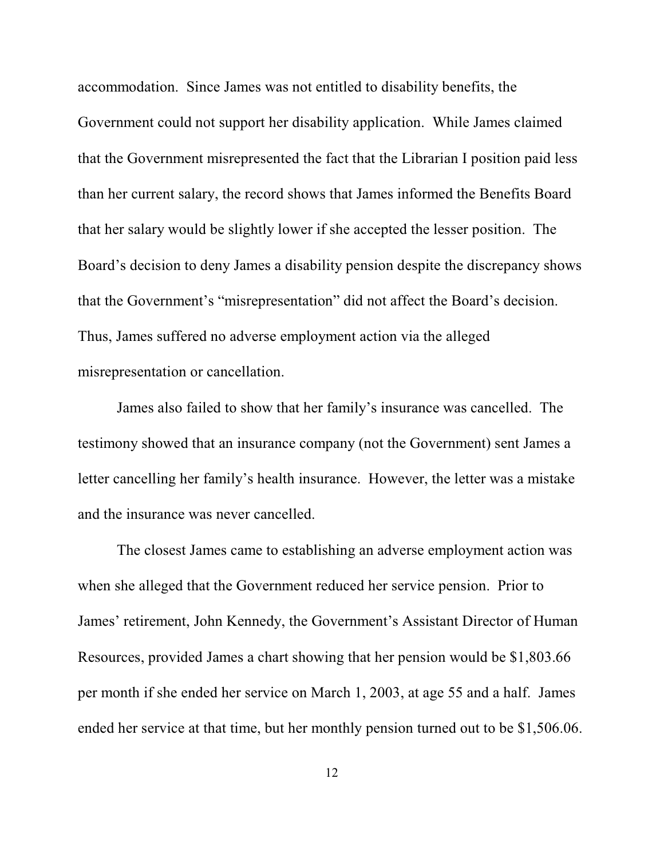accommodation. Since James was not entitled to disability benefits, the Government could not support her disability application. While James claimed that the Government misrepresented the fact that the Librarian I position paid less than her current salary, the record shows that James informed the Benefits Board that her salary would be slightly lower if she accepted the lesser position. The Board's decision to deny James a disability pension despite the discrepancy shows that the Government's "misrepresentation" did not affect the Board's decision. Thus, James suffered no adverse employment action via the alleged misrepresentation or cancellation.

James also failed to show that her family's insurance was cancelled. The testimony showed that an insurance company (not the Government) sent James a letter cancelling her family's health insurance. However, the letter was a mistake and the insurance was never cancelled.

The closest James came to establishing an adverse employment action was when she alleged that the Government reduced her service pension. Prior to James' retirement, John Kennedy, the Government's Assistant Director of Human Resources, provided James a chart showing that her pension would be \$1,803.66 per month if she ended her service on March 1, 2003, at age 55 and a half. James ended her service at that time, but her monthly pension turned out to be \$1,506.06.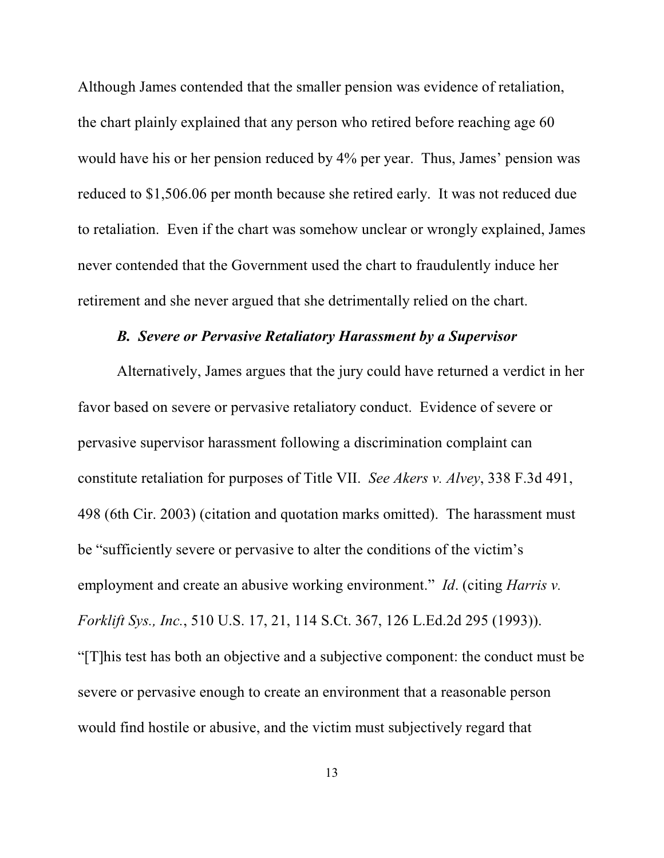Although James contended that the smaller pension was evidence of retaliation, the chart plainly explained that any person who retired before reaching age 60 would have his or her pension reduced by 4% per year. Thus, James' pension was reduced to \$1,506.06 per month because she retired early. It was not reduced due to retaliation. Even if the chart was somehow unclear or wrongly explained, James never contended that the Government used the chart to fraudulently induce her retirement and she never argued that she detrimentally relied on the chart.

#### *B. Severe or Pervasive Retaliatory Harassment by a Supervisor*

Alternatively, James argues that the jury could have returned a verdict in her favor based on severe or pervasive retaliatory conduct. Evidence of severe or pervasive supervisor harassment following a discrimination complaint can constitute retaliation for purposes of Title VII. *See Akers v. Alvey*, 338 F.3d 491, 498 (6th Cir. 2003) (citation and quotation marks omitted). The harassment must be "sufficiently severe or pervasive to alter the conditions of the victim's employment and create an abusive working environment." *Id*. (citing *Harris v. Forklift Sys., Inc.*, 510 U.S. 17, 21, 114 S.Ct. 367, 126 L.Ed.2d 295 (1993)). "[T]his test has both an objective and a subjective component: the conduct must be severe or pervasive enough to create an environment that a reasonable person would find hostile or abusive, and the victim must subjectively regard that